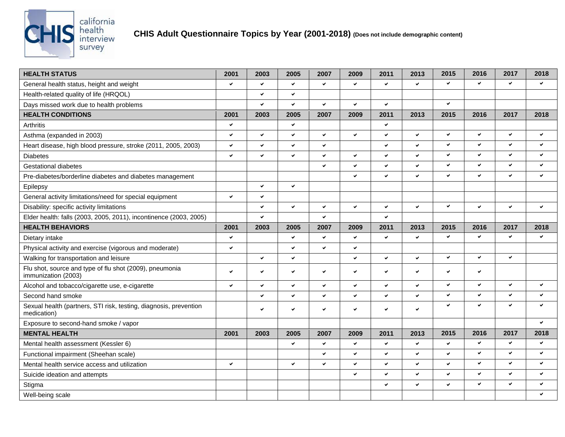

## **CHIS Adult Questionnaire Topics by Year (2001-2018) (Does not include demographic content)**

| <b>HEALTH STATUS</b>                                                             | 2001         | 2003         | 2005         | 2007         | 2009 | 2011         | 2013         | 2015         | 2016         | 2017         | 2018                     |
|----------------------------------------------------------------------------------|--------------|--------------|--------------|--------------|------|--------------|--------------|--------------|--------------|--------------|--------------------------|
| General health status, height and weight                                         | $\checkmark$ | v            | $\checkmark$ | $\checkmark$ | ✔    | $\checkmark$ | $\checkmark$ | $\checkmark$ | ✓            | v            | $\checkmark$             |
| Health-related quality of life (HRQOL)                                           |              | $\checkmark$ | $\checkmark$ |              |      |              |              |              |              |              |                          |
| Days missed work due to health problems                                          |              | ✓            | $\checkmark$ | $\checkmark$ | ✓    | $\checkmark$ |              | $\checkmark$ |              |              |                          |
| <b>HEALTH CONDITIONS</b>                                                         | 2001         | 2003         | 2005         | 2007         | 2009 | 2011         | 2013         | 2015         | 2016         | 2017         | 2018                     |
| Arthritis                                                                        | $\checkmark$ |              | $\checkmark$ |              |      | $\checkmark$ |              |              |              |              |                          |
| Asthma (expanded in 2003)                                                        | $\checkmark$ | $\checkmark$ | $\checkmark$ | $\checkmark$ | ✓    | $\checkmark$ | $\checkmark$ | v            | ✓            | $\checkmark$ | $\checkmark$             |
| Heart disease, high blood pressure, stroke (2011, 2005, 2003)                    | $\checkmark$ | $\checkmark$ | $\checkmark$ | $\checkmark$ |      | $\checkmark$ | $\checkmark$ | ◡            | ✓            | v            | $\checkmark$             |
| <b>Diabetes</b>                                                                  | ◡            | ✓            | $\checkmark$ | $\checkmark$ | ✓    | $\checkmark$ | $\checkmark$ | v            | ✓            | v            | $\checkmark$             |
| <b>Gestational diabetes</b>                                                      |              |              |              | $\checkmark$ | ✓    | $\checkmark$ | $\checkmark$ | $\checkmark$ | ✓            | ✔            | $\checkmark$             |
| Pre-diabetes/borderline diabetes and diabetes management                         |              |              |              |              | ✓    | $\checkmark$ | $\checkmark$ | $\checkmark$ | ✓            | $\checkmark$ | $\checkmark$             |
| Epilepsy                                                                         |              | $\checkmark$ | $\checkmark$ |              |      |              |              |              |              |              |                          |
| General activity limitations/need for special equipment                          | V            | $\checkmark$ |              |              |      |              |              |              |              |              |                          |
| Disability: specific activity limitations                                        |              | ✓            | $\checkmark$ | $\checkmark$ | ✓    | ✔            | ✓            | v            | ✓            | ✓            | $\checkmark$             |
| Elder health: falls (2003, 2005, 2011), incontinence (2003, 2005)                |              | $\checkmark$ |              | $\checkmark$ |      | $\checkmark$ |              |              |              |              |                          |
| <b>HEALTH BEHAVIORS</b>                                                          | 2001         | 2003         | 2005         | 2007         | 2009 | 2011         | 2013         | 2015         | 2016         | 2017         | 2018                     |
| Dietary intake                                                                   | $\checkmark$ |              | $\checkmark$ | $\checkmark$ | ✓    | $\checkmark$ | $\checkmark$ | $\checkmark$ | ✓            | v            | $\checkmark$             |
| Physical activity and exercise (vigorous and moderate)                           | ✓            |              | $\checkmark$ | ✔            | ✓    |              |              |              |              |              |                          |
| Walking for transportation and leisure                                           |              | $\checkmark$ | $\checkmark$ |              | ✓    | $\checkmark$ | $\checkmark$ | $\checkmark$ | ✓            | $\checkmark$ |                          |
| Flu shot, source and type of flu shot (2009), pneumonia<br>immunization (2003)   | $\checkmark$ | $\checkmark$ | $\checkmark$ | $\checkmark$ | ✓    | $\checkmark$ | $\checkmark$ | ✔            | ✓            |              |                          |
| Alcohol and tobacco/cigarette use, e-cigarette                                   | ◡            | $\checkmark$ | $\checkmark$ | $\checkmark$ | ✓    | $\checkmark$ | $\checkmark$ | $\checkmark$ | ✓            | v            | $\checkmark$             |
| Second hand smoke                                                                |              | $\checkmark$ | $\checkmark$ | $\checkmark$ | ✓    | $\checkmark$ | $\checkmark$ | $\checkmark$ | ✓            | $\checkmark$ | $\checkmark$             |
| Sexual health (partners, STI risk, testing, diagnosis, prevention<br>medication) |              | $\checkmark$ | $\checkmark$ | v            | ✓    | $\checkmark$ | $\checkmark$ | ◡            | ✓            | $\checkmark$ | $\overline{\phantom{0}}$ |
| Exposure to second-hand smoke / vapor                                            |              |              |              |              |      |              |              |              |              |              | $\checkmark$             |
| <b>MENTAL HEALTH</b>                                                             | 2001         | 2003         | 2005         | 2007         | 2009 | 2011         | 2013         | 2015         | 2016         | 2017         | 2018                     |
| Mental health assessment (Kessler 6)                                             |              |              | ◡            | $\checkmark$ | ✓    | $\checkmark$ | $\checkmark$ | $\checkmark$ | ✓            | $\checkmark$ | $\checkmark$             |
| Functional impairment (Sheehan scale)                                            |              |              |              | $\checkmark$ | ✓    | $\checkmark$ | $\checkmark$ | $\checkmark$ | $\checkmark$ | $\checkmark$ | $\checkmark$             |
| Mental health service access and utilization                                     | $\checkmark$ |              | $\checkmark$ | $\checkmark$ | ✓    | $\checkmark$ | $\checkmark$ | ✓            | ✓            | $\checkmark$ | $\checkmark$             |
| Suicide ideation and attempts                                                    |              |              |              |              | ✓    | $\checkmark$ | $\checkmark$ | ✓            | ✓            | $\checkmark$ | $\checkmark$             |
| Stigma                                                                           |              |              |              |              |      | $\checkmark$ | $\checkmark$ | ✓            | ✓            | $\checkmark$ | $\checkmark$             |
| Well-being scale                                                                 |              |              |              |              |      |              |              |              |              |              |                          |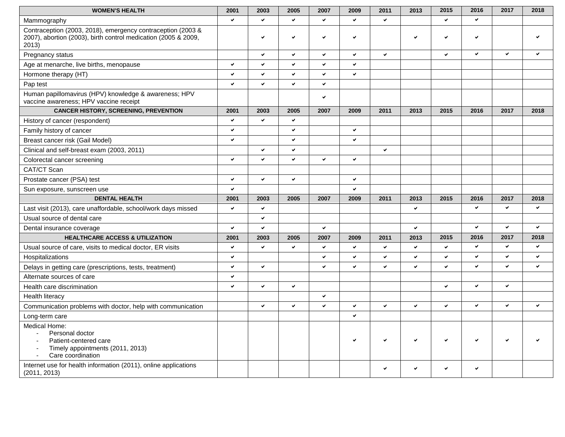| <b>WOMEN'S HEALTH</b>                                                                                                                  | 2001 | 2003         | 2005         | 2007         | 2009         | 2011         | 2013         | 2015         | 2016         | 2017         | 2018         |
|----------------------------------------------------------------------------------------------------------------------------------------|------|--------------|--------------|--------------|--------------|--------------|--------------|--------------|--------------|--------------|--------------|
| Mammography                                                                                                                            | ✓    | ✓            | v.           | $\checkmark$ | ✓            | $\checkmark$ |              | $\checkmark$ | ✓            |              |              |
| Contraception (2003, 2018), emergency contraception (2003 &<br>2007), abortion (2003), birth control medication (2005 & 2009,<br>2013) |      | V            | $\checkmark$ | V            | ✔            |              | ✔            | $\checkmark$ | ✓            |              |              |
| Pregnancy status                                                                                                                       |      | ✓            | ✓            | v            | ✓            | $\checkmark$ |              | $\checkmark$ | $\checkmark$ | $\checkmark$ | $\checkmark$ |
| Age at menarche, live births, menopause                                                                                                | ✓    | ✓            | $\checkmark$ | $\checkmark$ | $\checkmark$ |              |              |              |              |              |              |
| Hormone therapy (HT)                                                                                                                   | ✓    | ✓            | $\checkmark$ | $\checkmark$ | $\checkmark$ |              |              |              |              |              |              |
| Pap test                                                                                                                               | ✓    | $\checkmark$ | $\checkmark$ | $\checkmark$ |              |              |              |              |              |              |              |
| Human papillomavirus (HPV) knowledge & awareness; HPV<br>vaccine awareness; HPV vaccine receipt                                        |      |              |              | $\checkmark$ |              |              |              |              |              |              |              |
| <b>CANCER HISTORY, SCREENING, PREVENTION</b>                                                                                           | 2001 | 2003         | 2005         | 2007         | 2009         | 2011         | 2013         | 2015         | 2016         | 2017         | 2018         |
| History of cancer (respondent)                                                                                                         | ✓    | ✓            | ✔            |              |              |              |              |              |              |              |              |
| Family history of cancer                                                                                                               | ✓    |              | $\checkmark$ |              | $\checkmark$ |              |              |              |              |              |              |
| Breast cancer risk (Gail Model)                                                                                                        | ✓    |              | $\checkmark$ |              | $\checkmark$ |              |              |              |              |              |              |
| Clinical and self-breast exam (2003, 2011)                                                                                             |      | ✓            | $\checkmark$ |              |              | $\checkmark$ |              |              |              |              |              |
| Colorectal cancer screening                                                                                                            | ✓    | ✓            | $\checkmark$ | $\checkmark$ | $\checkmark$ |              |              |              |              |              |              |
| CAT/CT Scan                                                                                                                            |      |              |              |              |              |              |              |              |              |              |              |
| Prostate cancer (PSA) test                                                                                                             | ✓    | $\checkmark$ | $\checkmark$ |              | $\checkmark$ |              |              |              |              |              |              |
| Sun exposure, sunscreen use                                                                                                            | ✓    |              |              |              | $\checkmark$ |              |              |              |              |              |              |
| <b>DENTAL HEALTH</b>                                                                                                                   | 2001 | 2003         | 2005         | 2007         | 2009         | 2011         | 2013         | 2015         | 2016         | 2017         | 2018         |
| Last visit (2013), care unaffordable, school/work days missed                                                                          | ✓    | $\checkmark$ |              |              |              |              | $\checkmark$ |              | ✓            | $\checkmark$ | $\checkmark$ |
| Usual source of dental care                                                                                                            |      | $\checkmark$ |              |              |              |              |              |              |              |              |              |
| Dental insurance coverage                                                                                                              | ✓    | ✓            |              | $\checkmark$ |              |              | $\checkmark$ |              | ✓            | $\checkmark$ | $\checkmark$ |
| <b>HEALTHCARE ACCESS &amp; UTILIZATION</b>                                                                                             | 2001 | 2003         | 2005         | 2007         | 2009         | 2011         | 2013         | 2015         | 2016         | 2017         | 2018         |
| Usual source of care, visits to medical doctor, ER visits                                                                              | V    | ✓            | $\checkmark$ | $\checkmark$ | ✓            | $\checkmark$ | $\checkmark$ | $\checkmark$ | ✔            | $\checkmark$ | $\checkmark$ |
| Hospitalizations                                                                                                                       | ✓    |              |              | $\checkmark$ | ✓            | $\checkmark$ | $\checkmark$ | $\checkmark$ | ✓            | $\checkmark$ | $\checkmark$ |
| Delays in getting care (prescriptions, tests, treatment)                                                                               | ✓    | $\checkmark$ |              | v            | ✓            | $\checkmark$ | $\checkmark$ | $\checkmark$ | $\checkmark$ | $\checkmark$ | $\checkmark$ |
| Alternate sources of care                                                                                                              | ✓    |              |              |              |              |              |              |              |              |              |              |
| Health care discrimination                                                                                                             | ✔    | ✓            | ✔            |              |              |              |              | $\checkmark$ | ✔            | $\checkmark$ |              |
| <b>Health literacy</b>                                                                                                                 |      |              |              | v            |              |              |              |              |              |              |              |
| Communication problems with doctor, help with communication                                                                            |      | ✓            | ✓            | $\checkmark$ | $\checkmark$ | $\checkmark$ | $\checkmark$ | $\checkmark$ | $\checkmark$ | $\checkmark$ | $\checkmark$ |
| Long-term care                                                                                                                         |      |              |              |              | ✓            |              |              |              |              |              |              |
| Medical Home:<br>Personal doctor<br>Patient-centered care<br>$\sim$<br>Timely appointments (2011, 2013)<br>Care coordination           |      |              |              |              |              | ◡            | ✓            | $\checkmark$ | ✓            | $\checkmark$ |              |
| Internet use for health information (2011), online applications<br>(2011, 2013)                                                        |      |              |              |              |              | v            | u            | ◡            | ◡            |              |              |